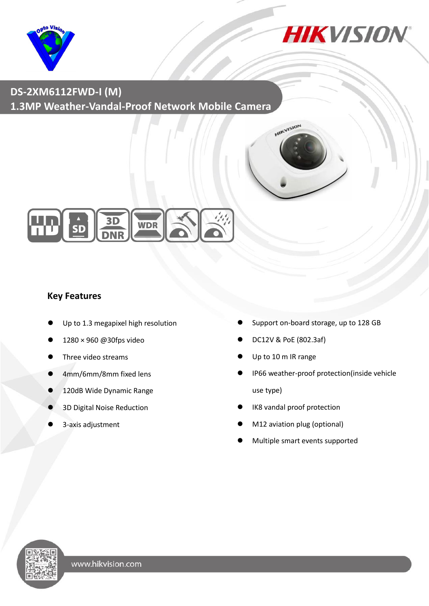



**DS-2XM6112FWD-I (M) 1.3MP Weather-Vandal-Proof Network Mobile Camera**





#### **Key Features**

- Up to 1.3 megapixel high resolution
- 1280 × 960 @30fps video
- Three video streams
- 4mm/6mm/8mm fixed lens
- 120dB Wide Dynamic Range
- 3D Digital Noise Reduction
- 3-axis adjustment
- Support on-board storage, up to 128 GB
- DC12V & PoE (802.3af)
- Up to 10 m IR range
- IP66 weather-proof protection(inside vehicle use type)
- IK8 vandal proof protection
- M12 aviation plug (optional)
- Multiple smart events supported

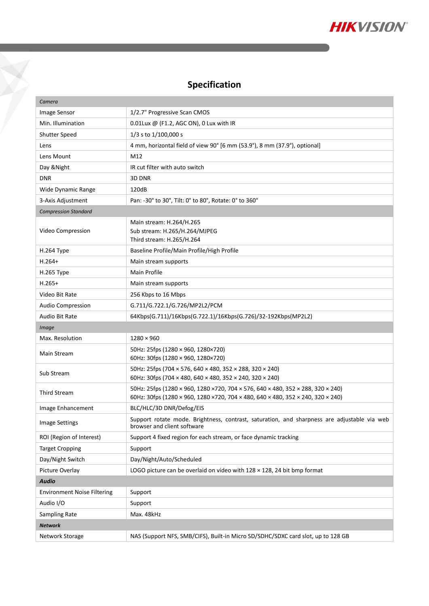

# **Specification**

 $\sum_{i=1}^{n}$ 

| Camera                             |                                                                                                                                                                      |  |  |  |
|------------------------------------|----------------------------------------------------------------------------------------------------------------------------------------------------------------------|--|--|--|
| Image Sensor                       | 1/2.7" Progressive Scan CMOS                                                                                                                                         |  |  |  |
| Min. Illumination                  | $0.01$ Lux @ (F1.2, AGC ON), 0 Lux with IR                                                                                                                           |  |  |  |
| Shutter Speed                      | 1/3 s to 1/100,000 s                                                                                                                                                 |  |  |  |
| Lens                               | 4 mm, horizontal field of view 90° [6 mm (53.9°), 8 mm (37.9°), optional]                                                                                            |  |  |  |
| Lens Mount                         | M12                                                                                                                                                                  |  |  |  |
| Day & Night                        | IR cut filter with auto switch                                                                                                                                       |  |  |  |
| <b>DNR</b>                         | 3D DNR                                                                                                                                                               |  |  |  |
| Wide Dynamic Range                 | 120dB                                                                                                                                                                |  |  |  |
| 3-Axis Adjustment                  | Pan: -30° to 30°, Tilt: 0° to 80°, Rotate: 0° to 360°                                                                                                                |  |  |  |
| <b>Compression Standard</b>        |                                                                                                                                                                      |  |  |  |
| Video Compression                  | Main stream: H.264/H.265<br>Sub stream: H.265/H.264/MJPEG<br>Third stream: H.265/H.264                                                                               |  |  |  |
| H.264 Type                         | Baseline Profile/Main Profile/High Profile                                                                                                                           |  |  |  |
| $H.264+$                           | Main stream supports                                                                                                                                                 |  |  |  |
| H.265 Type                         | Main Profile                                                                                                                                                         |  |  |  |
| $H.265+$                           | Main stream supports                                                                                                                                                 |  |  |  |
| Video Bit Rate                     | 256 Kbps to 16 Mbps                                                                                                                                                  |  |  |  |
| Audio Compression                  | G.711/G.722.1/G.726/MP2L2/PCM                                                                                                                                        |  |  |  |
| Audio Bit Rate                     | 64Kbps(G.711)/16Kbps(G.722.1)/16Kbps(G.726)/32-192Kbps(MP2L2)                                                                                                        |  |  |  |
| <b>Image</b>                       |                                                                                                                                                                      |  |  |  |
| Max. Resolution                    | $1280 \times 960$                                                                                                                                                    |  |  |  |
| Main Stream                        | 50Hz: 25fps (1280 × 960, 1280×720)<br>60Hz: 30fps (1280 × 960, 1280×720)                                                                                             |  |  |  |
| Sub Stream                         | 50Hz: 25fps (704 $\times$ 576, 640 $\times$ 480, 352 $\times$ 288, 320 $\times$ 240)<br>60Hz: 30fps (704 × 480, 640 × 480, 352 × 240, 320 × 240)                     |  |  |  |
| <b>Third Stream</b>                | 50Hz: 25fps (1280 × 960, 1280 × 720, 704 × 576, 640 × 480, 352 × 288, 320 × 240)<br>60Hz: 30fps (1280 × 960, 1280 × 720, 704 × 480, 640 × 480, 352 × 240, 320 × 240) |  |  |  |
| Image Enhancement                  | BLC/HLC/3D DNR/Defog/EIS                                                                                                                                             |  |  |  |
| <b>Image Settings</b>              | Support rotate mode. Brightness, contrast, saturation, and sharpness are adjustable via web<br>browser and client software                                           |  |  |  |
| ROI (Region of Interest)           | Support 4 fixed region for each stream, or face dynamic tracking                                                                                                     |  |  |  |
| <b>Target Cropping</b>             | Support                                                                                                                                                              |  |  |  |
| Day/Night Switch                   | Day/Night/Auto/Scheduled                                                                                                                                             |  |  |  |
| Picture Overlay                    | LOGO picture can be overlaid on video with 128 x 128, 24 bit bmp format                                                                                              |  |  |  |
| <b>Audio</b>                       |                                                                                                                                                                      |  |  |  |
| <b>Environment Noise Filtering</b> | Support                                                                                                                                                              |  |  |  |
| Audio I/O                          | Support                                                                                                                                                              |  |  |  |
| <b>Sampling Rate</b>               | Max. 48kHz                                                                                                                                                           |  |  |  |
| <b>Network</b>                     |                                                                                                                                                                      |  |  |  |
|                                    | NAS (Support NFS, SMB/CIFS), Built-in Micro SD/SDHC/SDXC card slot, up to 128 GB                                                                                     |  |  |  |
| Network Storage                    |                                                                                                                                                                      |  |  |  |